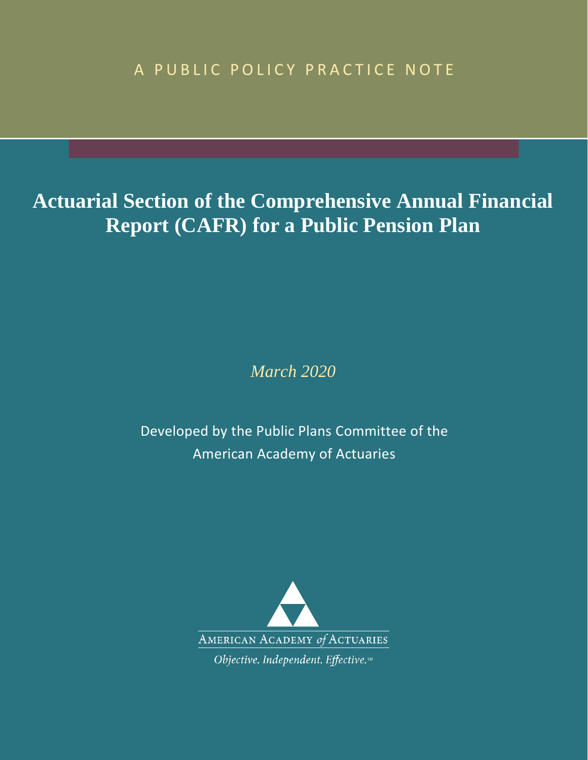A PUBLIC POLICY PRACTICE NOTE

# **Actuarial Section of the Comprehensive Annual Financial Report for a Public Pension Plan**

*March 2020*

Developed by the Public Plans Committee of the American Academy of Actuaries

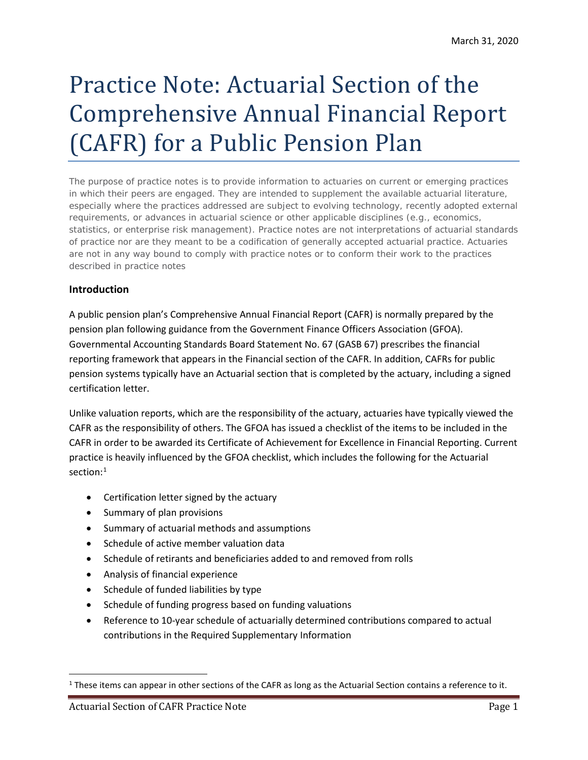# Practice Note: Actuarial Section of the Comprehensive Annual Financial Report for a Public Pension Plan

The purpose of practice notes is to provide information to actuaries on current or emerging practices in which their peers are engaged. They are intended to supplement the available actuarial literature, especially where the practices addressed are subject to evolving technology, recently adopted external requirements, or advances in actuarial science or other applicable disciplines (e.g., economics, statistics, or enterprise risk management). Practice notes are not interpretations of actuarial standards of practice nor are they meant to be a codification of generally accepted actuarial practice. Actuaries are not in any way bound to comply with practice notes or to conform their work to the practices described in practice notes

# **Introduction**

A public pension plan's Comprehensive Annual Financial Report is normally prepared by the pension plan following guidance from the Government Finance Officers Association (GFOA). Governmental Accounting Standards Board Statement No. 67 (GASB 67) prescribes the financial reporting framework that appears in the Financial section of the Comprehensive Annual Financial Report. In addition, Comprehensive Annual Financial Reports for public pension systems typically have an Actuarial section that is completed by the actuary, including a signed certification letter. Unlike valuation reports, which are the responsibility of the actuary, actuaries have typically viewed the Comprehensive Annual Financial Report as the responsibility of others. The GFOA has issued a checklist of the items to be included in the Comprehensive Annual Financial Report in order to be awarded its Certificate of Achievement for Excellence in Financial Reporting. Current practice is heavily influenced by the GFOA checklist, which includes the following for the Actuarial section:<sup>[1](#page-1-0)</sup>

- Certification letter signed by the actuary
- Summary of plan provisions
- Summary of actuarial methods and assumptions
- Schedule of active member valuation data
- Schedule of retirants and beneficiaries added to and removed from rolls
- Analysis of financial experience
- Schedule of funded liabilities by type
- Schedule of funding progress based on funding valuations
- Reference to 10-year schedule of actuarially determined contributions compared to actual contributions in the Required Supplementary Information

<span id="page-1-0"></span> $1$  These items can appear in other sections of the Comprehensive Annual Financial Report as long as the Actuarial Section contains a reference to it.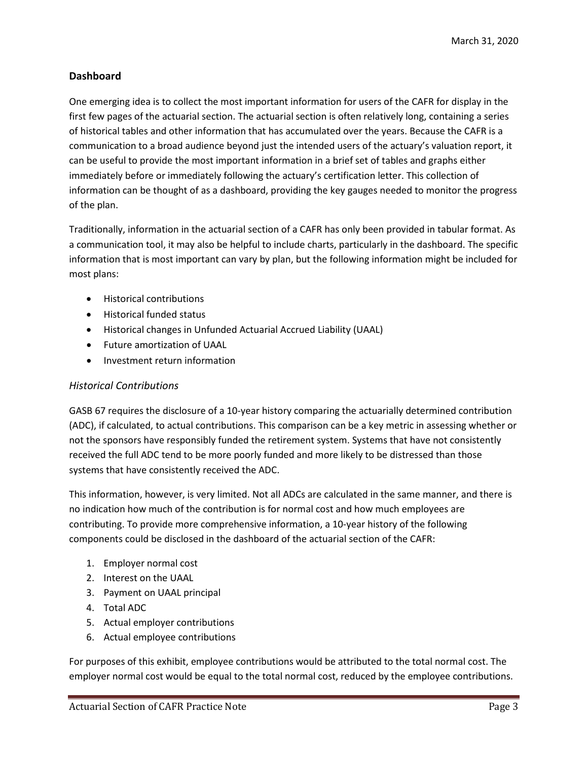## **Dashboard**

One emerging idea is to collect the most important information for users of the **azvave**? **WDZE** or display in the first few pages of the ac tuarial section. The actuarial section is often relatively long, containing a series of historical tables and other information that has accumulated over the years. Because the Comprehensive Annual Financial Report is a communication to a broad audience beyond just the intended users of the actuary's valuation report, it can be useful to provide the most important information in a brief set of tables and graphs either immediately before or immediately following the actuary's certification letter. This collection of information can be thought of as a dashboard, providing the key gauges needed to monitor the progress of the plan.

Traditionally, information in the actuarial section of a Comprehensive Annual Financial Report has only been provided in tabular format. As a communication tool, it may also be helpful to include charts, particularly in the dashboard. The specific information that is most important can vary by plan, but the following information might be included for most plans:

- Historical contributions
- Historical funded status
- Historical changes in Unfunded Actuarial Accrued Liability (UAAL)
- Future amortization of UAAL
- Investment return information

### *Historical Contributions*

GASB 67 requires the disclosure of a 10-year history comparing the actuarially determined contribution (ADC), if calculated, to actual contributions. This comparison can be a key metric in assessing whether or not the sponsors have responsibly funded the retirement system. Systems that have not consistently received the full ADC tend to be more poorly funded and more likely to be distressed than those systems that have consistently received the ADC.

This information, however, is very limited. Not all ADCs are calculated in the same manner, and there is no indication how much of the contribution is for normal cost and how much employees are contributing. To provide more comprehensive information, a 10-year history of the following components could be disclosed in the dashboard of the actuarial section of the Comprehensive Annual Financial Report:

- 1. Employer normal cost
- 2. Interest on the UAAL
- 3. Payment on UAAL principal
- 4. Total ADC
- 5. Actual employer contributions
- 6. Actual employee contributions

For purposes of this exhibit, employee contributions would be attributed to the total normal cost. The employer normal cost would be equal to the total normal cost, reduced by the employee contributions.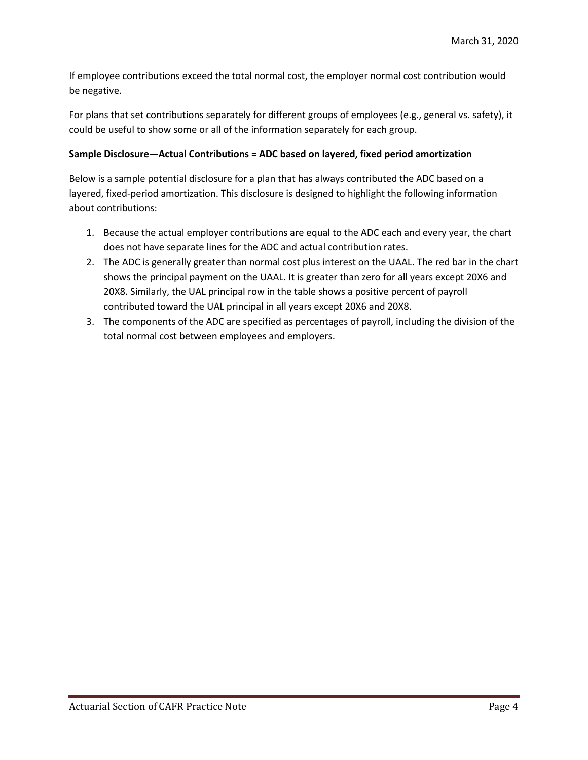If employee contributions exceed the total normal cost, the employer normal cost contribution would be negative.

For plans that set contributions separately for different groups of employees (e.g., general vs. safety), it could be useful to show some or all of the information separately for each group.

#### **Sample Disclosure—Actual Contributions = ADC based on layered, fixed period amortization**

Below is a sample potential disclosure for a plan that has always contributed the ADC based on a layered, fixed-period amortization. This disclosure is designed to highlight the following information about contributions:

- 1. Because the actual employer contributions are equal to the ADC each and every year, the chart does not have separate lines for the ADC and actual contribution rates.
- 2. The ADC is generally greater than normal cost plus interest on the UAAL. The red bar in the chart shows the principal payment on the UAAL. It is greater than zero for all years except 20X6 and 20X8. Similarly, the UAL principal row in the table shows a positive percent of payroll contributed toward the UAL principal in all years except 20X6 and 20X8.
- 3. The components of the ADC are specified as percentages of payroll, including the division of the total normal cost between employees and employers.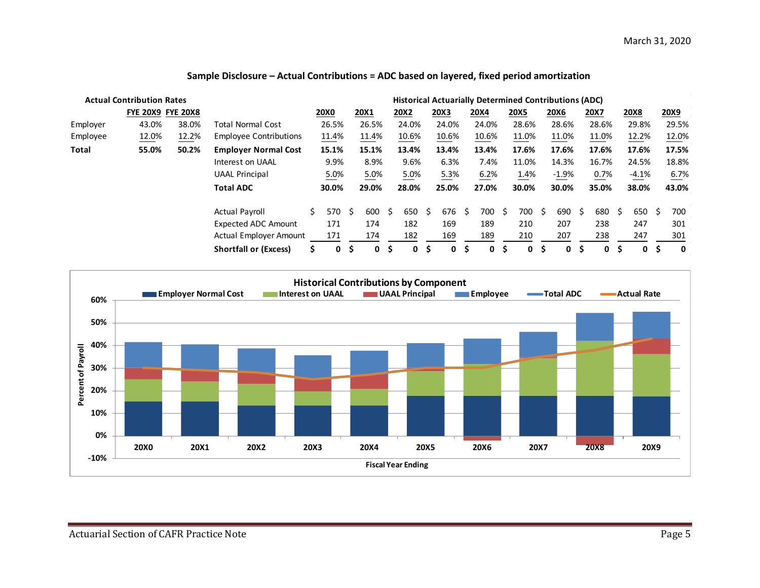|              | <b>Actual Contribution Rates</b> |       | <b>Historical Actuarially Determined Contributions (ADC)</b> |   |             |     |       |    |             |     |             |    |             |     |             |    |         |     |       |   |             |   |             |
|--------------|----------------------------------|-------|--------------------------------------------------------------|---|-------------|-----|-------|----|-------------|-----|-------------|----|-------------|-----|-------------|----|---------|-----|-------|---|-------------|---|-------------|
|              | <b>FYE 20X9 FYE 20X8</b>         |       |                                                              |   | <b>20X0</b> |     | 20X1  |    | <b>20X2</b> |     | 20X3        |    | <b>20X4</b> |     | <b>20X5</b> |    | 20X6    |     | 20X7  |   | <b>20X8</b> |   | <b>20X9</b> |
| Employer     | 43.0%                            | 38.0% | <b>Total Normal Cost</b>                                     |   | 26.5%       |     | 26.5% |    | 24.0%       |     | 24.0%       |    | 24.0%       |     | 28.6%       |    | 28.6%   |     | 28.6% |   | 29.8%       |   | 29.5%       |
| Employee     | 12.0%                            | 12.2% | <b>Employee Contributions</b>                                |   | 11.4%       |     | 11.4% |    | 10.6%       |     | 10.6%       |    | 10.6%       |     | 11.0%       |    | 11.0%   |     | 11.0% |   | 12.2%       |   | 12.0%       |
| <b>Total</b> | 55.0%                            | 50.2% | <b>Employer Normal Cost</b>                                  |   | 15.1%       |     | 15.1% |    | 13.4%       |     | 13.4%       |    | 13.4%       |     | 17.6%       |    | 17.6%   |     | 17.6% |   | 17.6%       |   | 17.5%       |
|              |                                  |       | Interest on UAAL                                             |   | 9.9%        |     | 8.9%  |    | 9.6%        |     | 6.3%        |    | 7.4%        |     | 11.0%       |    | 14.3%   |     | 16.7% |   | 24.5%       |   | 18.8%       |
|              |                                  |       | <b>UAAL Principal</b>                                        |   | 5.0%        |     | 5.0%  |    | 5.0%        |     | 5.3%        |    | 6.2%        |     | 1.4%        |    | $-1.9%$ |     | 0.7%  |   | $-4.1\%$    |   | 6.7%        |
|              |                                  |       | <b>Total ADC</b>                                             |   | 30.0%       |     | 29.0% |    | 28.0%       |     | 25.0%       |    | 27.0%       |     | 30.0%       |    | 30.0%   |     | 35.0% |   | 38.0%       |   | 43.0%       |
|              |                                  |       | <b>Actual Payroll</b>                                        | Ś | 570         | S   | 600   | -S | 650         | S   | 676         | -S | 700         | -S  | 700         | S  | 690     | - S | 680   | S | 650 \$      |   | 700         |
|              |                                  |       | Expected ADC Amount                                          |   | 171         |     | 174   |    | 182         |     | 169         |    | 189         |     | 210         |    | 207     |     | 238   |   | 247         |   | 301         |
|              |                                  |       | <b>Actual Employer Amount</b>                                |   | 171         |     | 174   |    | 182         |     | 169         |    | 189         |     | 210         |    | 207     |     | 238   |   | 247         |   | 301         |
|              |                                  |       | <b>Shortfall or (Excess)</b>                                 | S | 0           | \$. | 0     | S  | $\mathbf 0$ | \$. | $\mathbf 0$ | Ŝ. | 0           | \$. | 0           | \$ | 0       | S   | 0     | Ś | $\mathbf 0$ | Ś | $\mathbf 0$ |

### **Sample Disclosure – Actual Contributions = ADC based on layered, fixed period amortization**